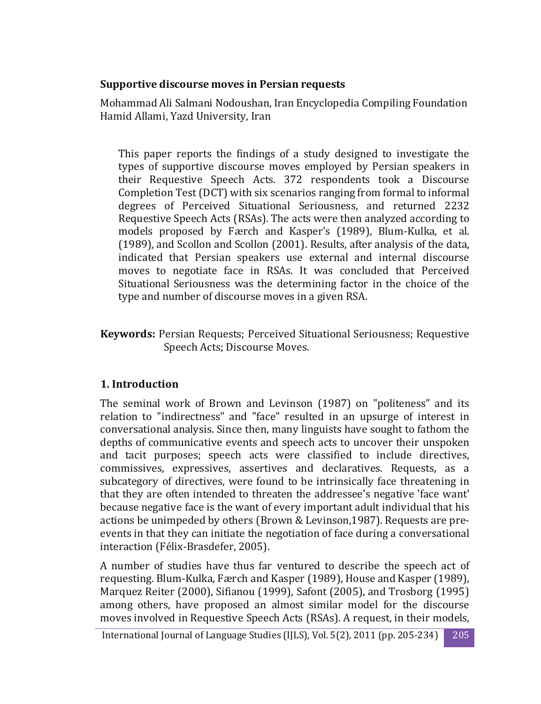### **Supportive discourse moves in Persian requests**

Mohammad Ali Salmani Nodoushan, Iran Encyclopedia Compiling Foundation Hamid Allami, Yazd University, Iran

This paper reports the findings of a study designed to investigate the types of supportive discourse moves employed by Persian speakers in their Requestive Speech Acts. 372 respondents took a Discourse Completion Test (DCT) with six scenarios ranging from formal to informal degrees of Perceived Situational Seriousness, and returned 2232 Requestive Speech Acts (RSAs). The acts were then analyzed according to models proposed by Færch and Kasper's (1989), Blum-Kulka, et al. (1989), and Scollon and Scollon (2001). Results, after analysis of the data, indicated that Persian speakers use external and internal discourse moves to negotiate face in RSAs. It was concluded that Perceived Situational Seriousness was the determining factor in the choice of the type and number of discourse moves in a given RSA.

**Keywords:** Persian Requests; Perceived Situational Seriousness; Requestive Speech Acts; Discourse Moves.

# **1. Introduction**

The seminal work of Brown and Levinson (1987) on "politeness" and its relation to "indirectness" and "face" resulted in an upsurge of interest in conversational analysis. Since then, many linguists have sought to fathom the depths of communicative events and speech acts to uncover their unspoken and tacit purposes; speech acts were classified to include directives, commissives, expressives, assertives and declaratives. Requests, as a subcategory of directives, were found to be intrinsically face threatening in that they are often intended to threaten the addressee's negative 'face want' because negative face is the want of every important adult individual that his actions be unimpeded by others (Brown & Levinson,1987). Requests are preevents in that they can initiate the negotiation of face during a conversational interaction (Félix-Brasdefer, 2005).

A number of studies have thus far ventured to describe the speech act of requesting. Blum-Kulka, Færch and Kasper (1989), House and Kasper (1989), Marquez Reiter (2000), Sifianou (1999), Safont (2005), and Trosborg (1995) among others, have proposed an almost similar model for the discourse moves involved in Requestive Speech Acts (RSAs). A request, in their models,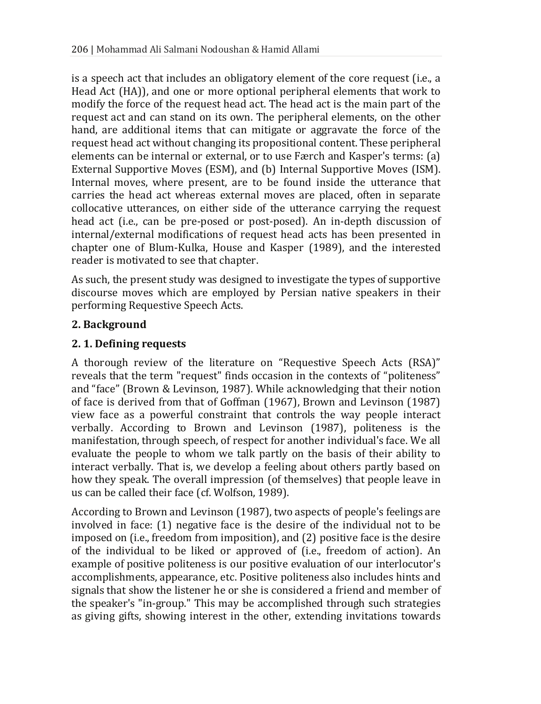is a speech act that includes an obligatory element of the core request (i.e., a Head Act (HA)), and one or more optional peripheral elements that work to modify the force of the request head act. The head act is the main part of the request act and can stand on its own. The peripheral elements, on the other hand, are additional items that can mitigate or aggravate the force of the request head act without changing its propositional content. These peripheral elements can be internal or external, or to use Færch and Kasper's terms: (a) External Supportive Moves (ESM), and (b) Internal Supportive Moves (ISM). Internal moves, where present, are to be found inside the utterance that carries the head act whereas external moves are placed, often in separate collocative utterances, on either side of the utterance carrying the request head act (i.e., can be pre-posed or post-posed). An in-depth discussion of internal/external modifications of request head acts has been presented in chapter one of Blum-Kulka, House and Kasper (1989), and the interested reader is motivated to see that chapter.

As such, the present study was designed to investigate the types of supportive discourse moves which are employed by Persian native speakers in their performing Requestive Speech Acts.

# **2. Background**

# **2. 1. Defining requests**

A thorough review of the literature on "Requestive Speech Acts (RSA)" reveals that the term "request" finds occasion in the contexts of "politeness" and "face" (Brown & Levinson, 1987). While acknowledging that their notion of face is derived from that of Goffman (1967), Brown and Levinson (1987) view face as a powerful constraint that controls the way people interact verbally. According to Brown and Levinson (1987), politeness is the manifestation, through speech, of respect for another individual's face. We all evaluate the people to whom we talk partly on the basis of their ability to interact verbally. That is, we develop a feeling about others partly based on how they speak. The overall impression (of themselves) that people leave in us can be called their face (cf. Wolfson, 1989).

According to Brown and Levinson (1987), two aspects of people's feelings are involved in face: (1) negative face is the desire of the individual not to be imposed on (i.e., freedom from imposition), and (2) positive face is the desire of the individual to be liked or approved of (i.e., freedom of action). An example of positive politeness is our positive evaluation of our interlocutor's accomplishments, appearance, etc. Positive politeness also includes hints and signals that show the listener he or she is considered a friend and member of the speaker's "in-group." This may be accomplished through such strategies as giving gifts, showing interest in the other, extending invitations towards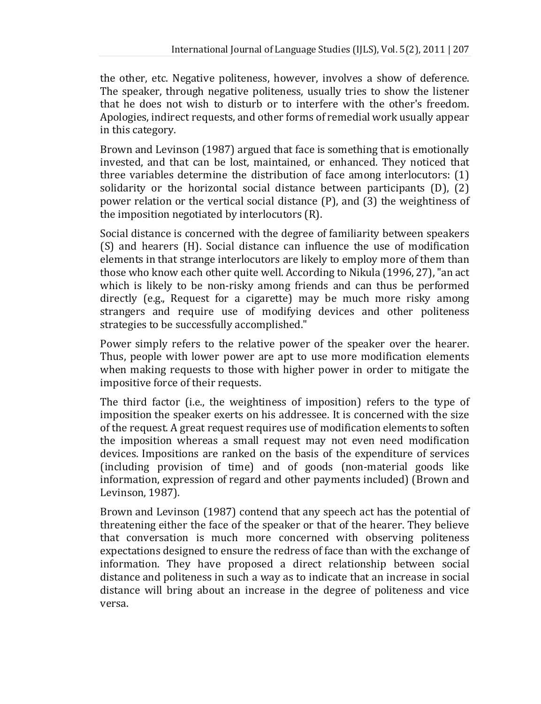the other, etc. Negative politeness, however, involves a show of deference. The speaker, through negative politeness, usually tries to show the listener that he does not wish to disturb or to interfere with the other's freedom. Apologies, indirect requests, and other forms of remedial work usually appear in this category.

Brown and Levinson (1987) argued that face is something that is emotionally invested, and that can be lost, maintained, or enhanced. They noticed that three variables determine the distribution of face among interlocutors: (1) solidarity or the horizontal social distance between participants (D), (2) power relation or the vertical social distance (P), and (3) the weightiness of the imposition negotiated by interlocutors (R).

Social distance is concerned with the degree of familiarity between speakers (S) and hearers (H). Social distance can influence the use of modification elements in that strange interlocutors are likely to employ more of them than those who know each other quite well. According to Nikula (1996, 27), "an act which is likely to be non-risky among friends and can thus be performed directly (e.g., Request for a cigarette) may be much more risky among strangers and require use of modifying devices and other politeness strategies to be successfully accomplished."

Power simply refers to the relative power of the speaker over the hearer. Thus, people with lower power are apt to use more modification elements when making requests to those with higher power in order to mitigate the impositive force of their requests.

The third factor (i.e., the weightiness of imposition) refers to the type of imposition the speaker exerts on his addressee. It is concerned with the size of the request. A great request requires use of modification elements to soften the imposition whereas a small request may not even need modification devices. Impositions are ranked on the basis of the expenditure of services (including provision of time) and of goods (non-material goods like information, expression of regard and other payments included) (Brown and Levinson, 1987).

Brown and Levinson (1987) contend that any speech act has the potential of threatening either the face of the speaker or that of the hearer. They believe that conversation is much more concerned with observing politeness expectations designed to ensure the redress of face than with the exchange of information. They have proposed a direct relationship between social distance and politeness in such a way as to indicate that an increase in social distance will bring about an increase in the degree of politeness and vice versa.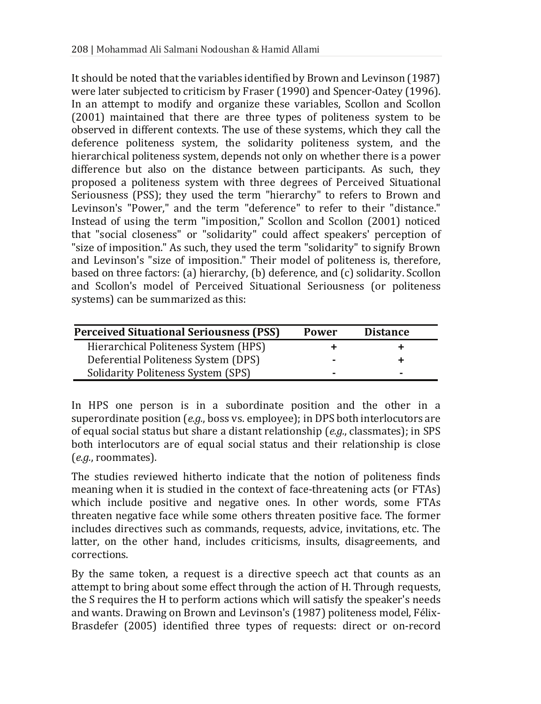It should be noted that the variables identified by Brown and Levinson (1987) were later subjected to criticism by Fraser (1990) and Spencer-Oatey (1996). In an attempt to modify and organize these variables, Scollon and Scollon (2001) maintained that there are three types of politeness system to be observed in different contexts. The use of these systems, which they call the deference politeness system, the solidarity politeness system, and the hierarchical politeness system, depends not only on whether there is a power difference but also on the distance between participants. As such, they proposed a politeness system with three degrees of Perceived Situational Seriousness (PSS); they used the term "hierarchy" to refers to Brown and Levinson's "Power," and the term "deference" to refer to their "distance." Instead of using the term "imposition," Scollon and Scollon (2001) noticed that "social closeness" or "solidarity" could affect speakers' perception of "size of imposition." As such, they used the term "solidarity" to signify Brown and Levinson's "size of imposition." Their model of politeness is, therefore, based on three factors: (a) hierarchy, (b) deference, and (c) solidarity. Scollon and Scollon's model of Perceived Situational Seriousness (or politeness systems) can be summarized as this:

| <b>Perceived Situational Seriousness (PSS)</b> | <b>Power</b> | <b>Distance</b> |
|------------------------------------------------|--------------|-----------------|
| Hierarchical Politeness System (HPS)           |              |                 |
| Deferential Politeness System (DPS)            |              |                 |
| Solidarity Politeness System (SPS)             |              |                 |

In HPS one person is in a subordinate position and the other in a superordinate position (*e.g.*, boss vs. employee); in DPS both interlocutors are of equal social status but share a distant relationship (*e.g.*, classmates); in SPS both interlocutors are of equal social status and their relationship is close (*e.g.*, roommates).

The studies reviewed hitherto indicate that the notion of politeness finds meaning when it is studied in the context of face-threatening acts (or FTAs) which include positive and negative ones. In other words, some FTAs threaten negative face while some others threaten positive face. The former includes directives such as commands, requests, advice, invitations, etc. The latter, on the other hand, includes criticisms, insults, disagreements, and corrections.

By the same token, a request is a directive speech act that counts as an attempt to bring about some effect through the action of H. Through requests, the S requires the H to perform actions which will satisfy the speaker's needs and wants. Drawing on Brown and Levinson's (1987) politeness model, Félix-Brasdefer (2005) identified three types of requests: direct or on-record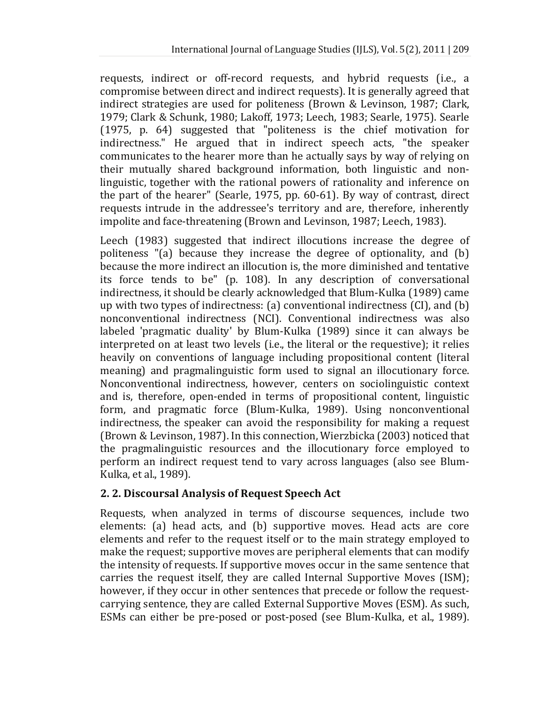requests, indirect or off-record requests, and hybrid requests (i.e., a compromise between direct and indirect requests). It is generally agreed that indirect strategies are used for politeness (Brown & Levinson, 1987; Clark, 1979; Clark & Schunk, 1980; Lakoff, 1973; Leech, 1983; Searle, 1975). Searle (1975, p. 64) suggested that "politeness is the chief motivation for indirectness." He argued that in indirect speech acts, "the speaker communicates to the hearer more than he actually says by way of relying on their mutually shared background information, both linguistic and nonlinguistic, together with the rational powers of rationality and inference on the part of the hearer" (Searle, 1975, pp. 60-61). By way of contrast, direct requests intrude in the addressee's territory and are, therefore, inherently impolite and face-threatening (Brown and Levinson, 1987; Leech, 1983).

Leech (1983) suggested that indirect illocutions increase the degree of politeness "(a) because they increase the degree of optionality, and (b) because the more indirect an illocution is, the more diminished and tentative its force tends to be" (p. 108). In any description of conversational indirectness, it should be clearly acknowledged that Blum-Kulka (1989) came up with two types of indirectness: (a) conventional indirectness (CI), and (b) nonconventional indirectness (NCI). Conventional indirectness was also labeled 'pragmatic duality' by Blum-Kulka (1989) since it can always be interpreted on at least two levels (i.e., the literal or the requestive); it relies heavily on conventions of language including propositional content (literal meaning) and pragmalinguistic form used to signal an illocutionary force. Nonconventional indirectness, however, centers on sociolinguistic context and is, therefore, open-ended in terms of propositional content, linguistic form, and pragmatic force (Blum-Kulka, 1989). Using nonconventional indirectness, the speaker can avoid the responsibility for making a request (Brown & Levinson, 1987). In this connection, Wierzbicka (2003) noticed that the pragmalinguistic resources and the illocutionary force employed to perform an indirect request tend to vary across languages (also see Blum-Kulka, et al., 1989).

# **2. 2. Discoursal Analysis of Request Speech Act**

Requests, when analyzed in terms of discourse sequences, include two elements: (a) head acts, and (b) supportive moves. Head acts are core elements and refer to the request itself or to the main strategy employed to make the request; supportive moves are peripheral elements that can modify the intensity of requests. If supportive moves occur in the same sentence that carries the request itself, they are called Internal Supportive Moves (ISM); however, if they occur in other sentences that precede or follow the requestcarrying sentence, they are called External Supportive Moves (ESM). As such, ESMs can either be pre-posed or post-posed (see Blum-Kulka, et al., 1989).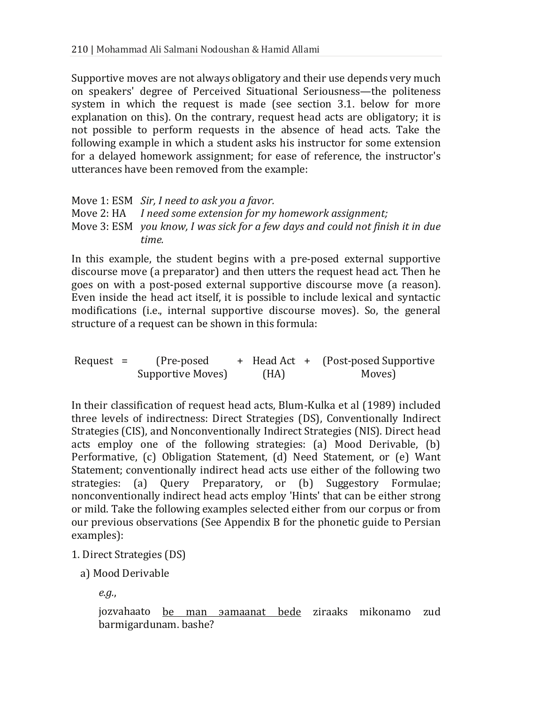Supportive moves are not always obligatory and their use depends very much on speakers' degree of Perceived Situational Seriousness—the politeness system in which the request is made (see section 3.1. below for more explanation on this). On the contrary, request head acts are obligatory; it is not possible to perform requests in the absence of head acts. Take the following example in which a student asks his instructor for some extension for a delayed homework assignment; for ease of reference, the instructor's utterances have been removed from the example:

| Move 1: ESM Sir, I need to ask you a favor.                                    |
|--------------------------------------------------------------------------------|
| Move 2: HA I need some extension for my homework assignment;                   |
| Move 3: ESM you know, I was sick for a few days and could not finish it in due |
| time.                                                                          |

In this example, the student begins with a pre-posed external supportive discourse move (a preparator) and then utters the request head act. Then he goes on with a post-posed external supportive discourse move (a reason). Even inside the head act itself, it is possible to include lexical and syntactic modifications (i.e., internal supportive discourse moves). So, the general structure of a request can be shown in this formula:

Request = (Pre-posed Supportive Moves) + Head Act + (Post-posed Supportive (HA) Moves)

In their classification of request head acts, Blum-Kulka et al (1989) included three levels of indirectness: Direct Strategies (DS), Conventionally Indirect Strategies (CIS), and Nonconventionally Indirect Strategies (NIS). Direct head acts employ one of the following strategies: (a) Mood Derivable, (b) Performative, (c) Obligation Statement, (d) Need Statement, or (e) Want Statement; conventionally indirect head acts use either of the following two strategies: (a) Query Preparatory, or (b) Suggestory Formulae; nonconventionally indirect head acts employ 'Hints' that can be either strong or mild. Take the following examples selected either from our corpus or from our previous observations (See Appendix B for the phonetic guide to Persian examples):

#### 1. Direct Strategies (DS)

a) Mood Derivable

*e.g.*,

jozvahaato be man aamaanat bede ziraaks mikonamo zud barmigardunam. bashe?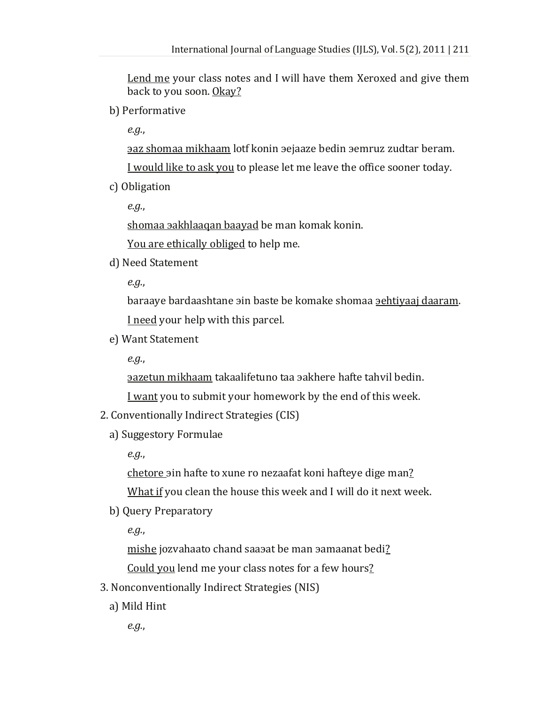Lend me your class notes and I will have them Xeroxed and give them back to you soon. <u>Okay?</u>

b) Performative

*e.g.*,

az shomaa mikhaam lotf konin aejaaze bedin aemruz zudtar beram.

<u>I would like to ask you</u> to please let me leave the office sooner today.

c) Obligation

*e.g.*,

shomaa aakhlaaqan baayad be man komak konin.

You are ethically obliged to help me.

d) Need Statement

*e.g.*,

baraave bardaashtane ain baste be komake shomaa aehtivaai daaram. I need your help with this parcel.

e) Want Statement

*e.g.*,

azetun mikhaam takaalifetuno taa aakhere hafte tahvil bedin.

I want you to submit your homework by the end of this week.

- 2. Conventionally Indirect Strategies (CIS)
	- a) Suggestory Formulae

*e.g.*,

chetore ain hafte to xune ro nezaafat koni hafteve dige man?

What if you clean the house this week and I will do it next week.

b) Query Preparatory

*e.g.*,

mishe jozyahaato chand saasat be man samaanat bedi? Could you lend me your class notes for a few hours?

- 3. Nonconventionally Indirect Strategies (NIS)
	- a) Mild Hint

*e.g.*,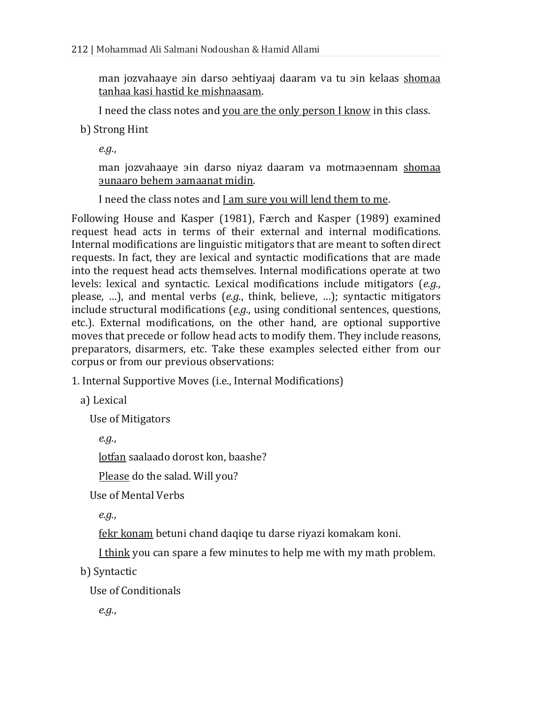man jozvahaaye ain darso aehtiyaaj daaram va tu ain kelaas shomaa <u>tanhaa kasi hastid ke mishnaasam</u>.

I need the class notes and you are the only person I know in this class.

b) Strong Hint

*e.g.*,

man jozvahaaye ain darso niyaz daaram va motmaaennam shomaa ˠˠ .

I need the class notes and <u>I am sure you will lend them to me</u>.

Following House and Kasper (1981), Færch and Kasper (1989) examined request head acts in terms of their external and internal modifications. Internal modifications are linguistic mitigators that are meant to soften direct requests. In fact, they are lexical and syntactic modifications that are made into the request head acts themselves. Internal modifications operate at two levels: lexical and syntactic. Lexical modifications include mitigators (*e.g.*, please, …), and mental verbs (*e.g.*, think, believe, …); syntactic mitigators include structural modifications (*e.g.*, using conditional sentences, questions, etc.). External modifications, on the other hand, are optional supportive moves that precede or follow head acts to modify them. They include reasons, preparators, disarmers, etc. Take these examples selected either from our corpus or from our previous observations:

1. Internal Supportive Moves (i.e., Internal Modifications)

a) Lexical

Use of Mitigators

*e.g.*,

lotfan saalaado dorost kon, baashe?

Please do the salad. Will you?

Use of Mental Verbs

*e.g.*,

fekr konam betuni chand daqiqe tu darse riyazi komakam koni.

I think you can spare a few minutes to help me with my math problem.

b) Syntactic

Use of Conditionals

*e.g.*,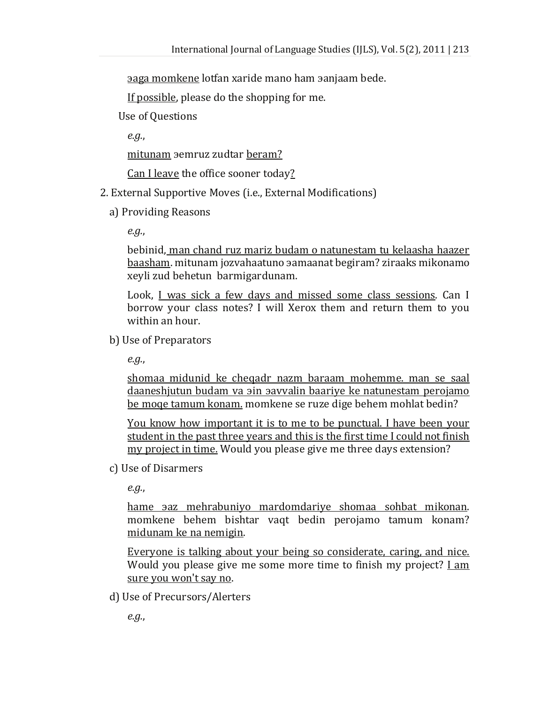aga momkene lotfan xaride mano ham aanjaam bede.

If possible, please do the shopping for me.

Use of Questions

*e.g.*,

mitunam semruz zudtar beram?

Can I leave the office sooner today?

- 2. External Supportive Moves (i.e., External Modifications)
	- a) Providing Reasons

*e.g.*,

bebinid, man chand ruz mariz budam o natunestam tu kelaasha haazer baasham Ǥˠǫ xeyli zud behetun barmigardunam.

Look, <u>I was sick a few days and missed some class sessions</u>. Can I borrow your class notes? I will Xerox them and return them to you within an hour.

b) Use of Preparators

*e.g.*,

shomaa midunid ke cheqadr nazm baraam mohemme. man se saal daaneshjutun budam va ain aavvalin baariye ke natunestam perojamo be moqe tamum konam. momkene se ruze dige behem mohlat bedin?

You know how important it is to me to be punctual. I have been your student in the past three years and this is the first time I could not finish my project in time. Would you please give me three days extension?

c) Use of Disarmers

*e.g.*,

hame *saz* mehrabuniyo mardomdariye shomaa sohbat mikonan. momkene behem bishtar vaqt bedin perojamo tamum konam? midunam ke na nemigin.

Everyone is talking about your being so considerate, caring, and nice. Would you please give me some more time to finish my project? I am sure you won't say no .

d) Use of Precursors/Alerters

*e.g.*,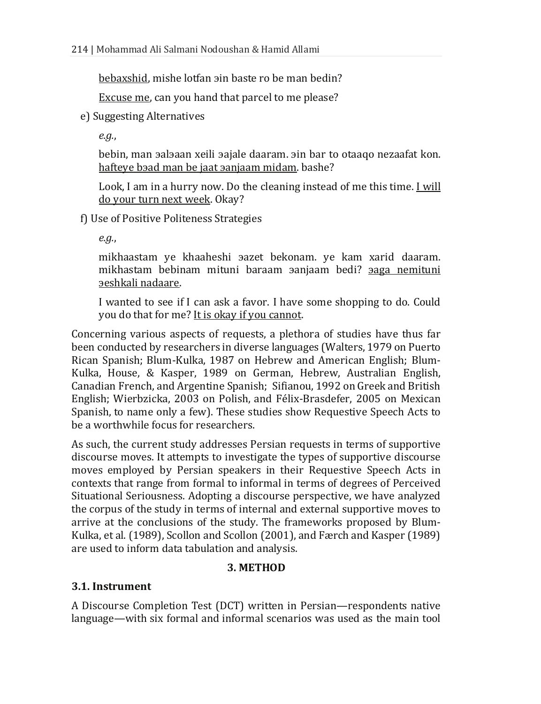bebaxshid, mishe lotfan ain baste ro be man bedin?

Excuse me , can you hand that parcel to me please?

e) Suggesting Alternatives

*e.g.*,

bebin, man aalaaan xeili aajale daaram. ain bar to otaago nezaafat kon. <u>hafteye bəad man be jaat əanjaam midam</u>. bashe?

Look, I am in a hurry now. Do the cleaning instead of me this time. <u>I will</u> <u>do your turn next week</u>. Okay?

f) Use of Positive Politeness Strategies

*e.g.*,

mikhaastam ye khaaheshi aazet bekonam. ye kam xarid daaram. mikhastam bebinam mituni baraam yanjaam bedi? yaga nemituni <u>əeshkali nadaare</u>.

I wanted to see if I can ask a favor. I have some shopping to do. Could you do that for me? <u>It is okay if you cannot</u>.

Concerning various aspects of requests, a plethora of studies have thus far been conducted by researchers in diverse languages (Walters, 1979 on Puerto Rican Spanish; Blum-Kulka, 1987 on Hebrew and American English; Blum-Kulka, House, & Kasper, 1989 on German, Hebrew, Australian English, Canadian French, and Argentine Spanish; Sifianou, 1992 on Greek and British English; Wierbzicka, 2003 on Polish, and Félix-Brasdefer, 2005 on Mexican Spanish, to name only a few). These studies show Requestive Speech Acts to be a worthwhile focus for researchers.

As such, the current study addresses Persian requests in terms of supportive discourse moves. It attempts to investigate the types of supportive discourse moves employed by Persian speakers in their Requestive Speech Acts in contexts that range from formal to informal in terms of degrees of Perceived Situational Seriousness. Adopting a discourse perspective, we have analyzed the corpus of the study in terms of internal and external supportive moves to arrive at the conclusions of the study. The frameworks proposed by Blum-Kulka, et al. (1989), Scollon and Scollon (2001), and Færch and Kasper (1989) are used to inform data tabulation and analysis.

# **3. METHOD**

#### **3.1. Instrument**

A Discourse Completion Test (DCT) written in Persian—respondents native language—with six formal and informal scenarios was used as the main tool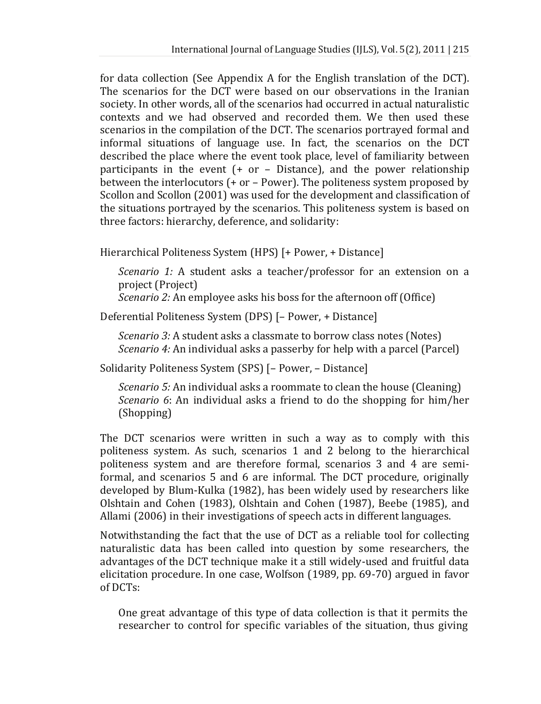for data collection (See Appendix A for the English translation of the DCT). The scenarios for the DCT were based on our observations in the Iranian society. In other words, all of the scenarios had occurred in actual naturalistic contexts and we had observed and recorded them. We then used these scenarios in the compilation of the DCT. The scenarios portrayed formal and informal situations of language use. In fact, the scenarios on the DCT described the place where the event took place, level of familiarity between participants in the event  $(+)$  or  $-$  Distance), and the power relationship between the interlocutors (+ or – Power). The politeness system proposed by Scollon and Scollon (2001) was used for the development and classification of the situations portrayed by the scenarios. This politeness system is based on three factors: hierarchy, deference, and solidarity:

Hierarchical Politeness System (HPS) [+ Power, + Distance]

*Scenario 1:* A student asks a teacher/professor for an extension on a project (Project)

*Scenario 2:* An employee asks his boss for the afternoon off (Office)

Deferential Politeness System (DPS) [– Power, + Distance]

*Scenario 3:* A student asks a classmate to borrow class notes (Notes) *Scenario 4:* An individual asks a passerby for help with a parcel (Parcel)

Solidarity Politeness System (SPS) [– Power, – Distance]

*Scenario 5:* An individual asks a roommate to clean the house (Cleaning) *Scenario 6*: An individual asks a friend to do the shopping for him/her (Shopping)

The DCT scenarios were written in such a way as to comply with this politeness system. As such, scenarios 1 and 2 belong to the hierarchical politeness system and are therefore formal, scenarios 3 and 4 are semiformal, and scenarios 5 and 6 are informal. The DCT procedure, originally developed by Blum-Kulka (1982), has been widely used by researchers like Olshtain and Cohen (1983), Olshtain and Cohen (1987), Beebe (1985), and Allami (2006) in their investigations of speech acts in different languages.

Notwithstanding the fact that the use of DCT as a reliable tool for collecting naturalistic data has been called into question by some researchers, the advantages of the DCT technique make it a still widely-used and fruitful data elicitation procedure. In one case, Wolfson (1989, pp. 69-70) argued in favor of DCTs:

One great advantage of this type of data collection is that it permits the researcher to control for specific variables of the situation, thus giving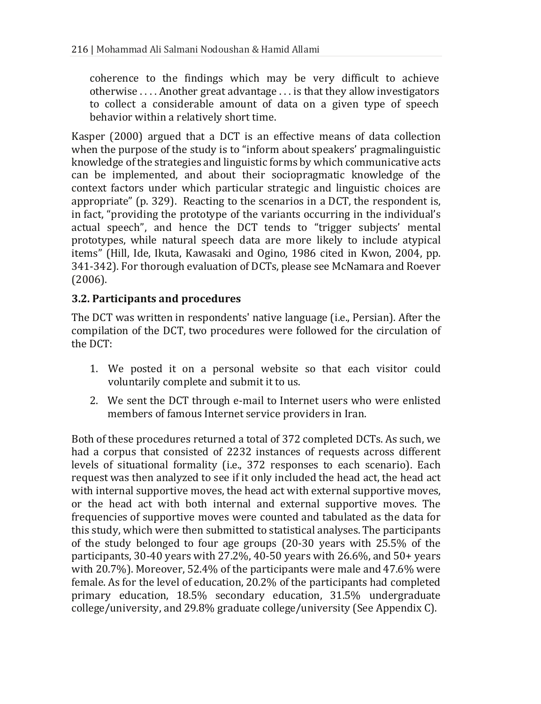coherence to the findings which may be very difficult to achieve otherwise . . . . Another great advantage . . . is that they allow investigators to collect a considerable amount of data on a given type of speech behavior within a relatively short time.

Kasper (2000) argued that a DCT is an effective means of data collection when the purpose of the study is to "inform about speakers' pragmalinguistic knowledge of the strategies and linguistic forms by which communicative acts can be implemented, and about their sociopragmatic knowledge of the context factors under which particular strategic and linguistic choices are appropriate" (p. 329). Reacting to the scenarios in a DCT, the respondent is, in fact, "providing the prototype of the variants occurring in the individual's actual speech", and hence the DCT tends to "trigger subjects' mental prototypes, while natural speech data are more likely to include atypical items" (Hill, Ide, Ikuta, Kawasaki and Ogino, 1986 cited in Kwon, 2004, pp. 341-342). For thorough evaluation of DCTs, please see McNamara and Roever (2006).

### **3.2. Participants and procedures**

The DCT was written in respondents' native language (i.e., Persian). After the compilation of the DCT, two procedures were followed for the circulation of the DCT:

- 1. We posted it on a personal website so that each visitor could voluntarily complete and submit it to us.
- 2. We sent the DCT through e-mail to Internet users who were enlisted members of famous Internet service providers in Iran.

Both of these procedures returned a total of 372 completed DCTs. As such, we had a corpus that consisted of 2232 instances of requests across different levels of situational formality (i.e., 372 responses to each scenario). Each request was then analyzed to see if it only included the head act, the head act with internal supportive moves, the head act with external supportive moves, or the head act with both internal and external supportive moves. The frequencies of supportive moves were counted and tabulated as the data for this study, which were then submitted to statistical analyses. The participants of the study belonged to four age groups (20-30 years with 25.5% of the participants, 30-40 years with 27.2%, 40-50 years with 26.6%, and 50+ years with 20.7%). Moreover, 52.4% of the participants were male and 47.6% were female. As for the level of education, 20.2% of the participants had completed primary education, 18.5% secondary education, 31.5% undergraduate college/university, and 29.8% graduate college/university (See Appendix C).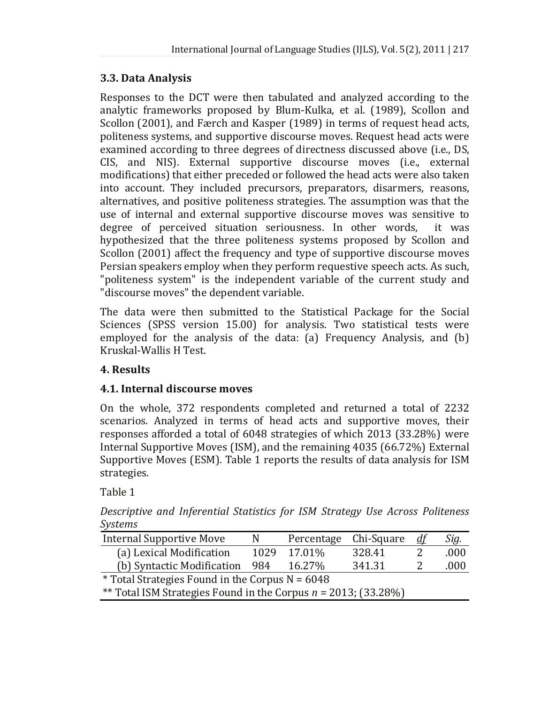#### **3.3. Data Analysis**

Responses to the DCT were then tabulated and analyzed according to the analytic frameworks proposed by Blum-Kulka, et al. (1989), Scollon and Scollon (2001), and Færch and Kasper (1989) in terms of request head acts, politeness systems, and supportive discourse moves. Request head acts were examined according to three degrees of directness discussed above (i.e., DS, CIS, and NIS). External supportive discourse moves (i.e., external modifications) that either preceded or followed the head acts were also taken into account. They included precursors, preparators, disarmers, reasons, alternatives, and positive politeness strategies. The assumption was that the use of internal and external supportive discourse moves was sensitive to degree of perceived situation seriousness. In other words, it was hypothesized that the three politeness systems proposed by Scollon and Scollon (2001) affect the frequency and type of supportive discourse moves Persian speakers employ when they perform requestive speech acts. As such, "politeness system" is the independent variable of the current study and "discourse moves" the dependent variable.

The data were then submitted to the Statistical Package for the Social Sciences (SPSS version 15.00) for analysis. Two statistical tests were employed for the analysis of the data: (a) Frequency Analysis, and (b) Kruskal-Wallis H Test.

# **4. Results**

# **4.1. Internal discourse moves**

On the whole, 372 respondents completed and returned a total of 2232 scenarios. Analyzed in terms of head acts and supportive moves, their responses afforded a total of 6048 strategies of which 2013 (33.28%) were Internal Supportive Moves (ISM), and the remaining 4035 (66.72%) External Supportive Moves (ESM). Table 1 reports the results of data analysis for ISM strategies.

Table 1

*Descriptive and Inferential Statistics for ISM Strategy Use Across Politeness Systems* 

| <b>Internal Supportive Move</b>                                   | N    | Percentage | Chi-Square | df | Sig. |  |
|-------------------------------------------------------------------|------|------------|------------|----|------|--|
| (a) Lexical Modification                                          | 1029 | 17.01%     | 328.41     |    | .000 |  |
| (b) Syntactic Modification 984                                    |      | 16.27%     | 341.31     |    | .000 |  |
| * Total Strategies Found in the Corpus $N = 6048$                 |      |            |            |    |      |  |
| ** Total ISM Strategies Found in the Corpus $n = 2013$ ; (33.28%) |      |            |            |    |      |  |
|                                                                   |      |            |            |    |      |  |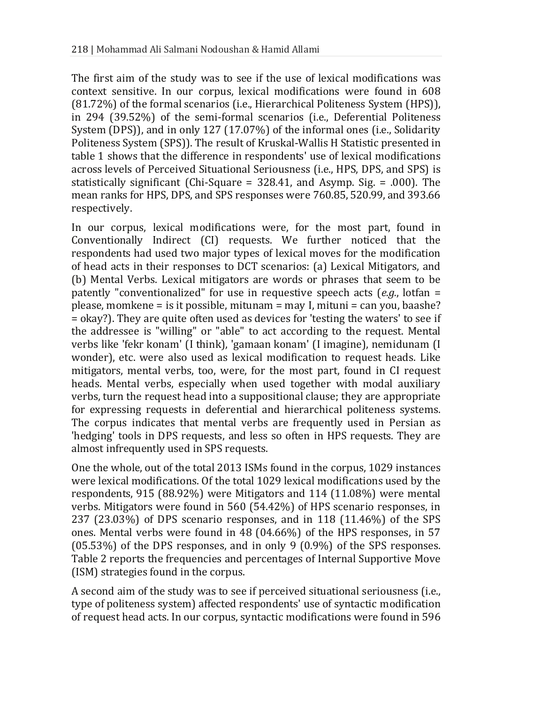The first aim of the study was to see if the use of lexical modifications was context sensitive. In our corpus, lexical modifications were found in 608 (81.72%) of the formal scenarios (i.e., Hierarchical Politeness System (HPS)), in 294 (39.52%) of the semi-formal scenarios (i.e., Deferential Politeness System (DPS)), and in only 127 (17.07%) of the informal ones (i.e., Solidarity Politeness System (SPS)). The result of Kruskal-Wallis H Statistic presented in table 1 shows that the difference in respondents' use of lexical modifications across levels of Perceived Situational Seriousness (i.e., HPS, DPS, and SPS) is statistically significant (Chi-Square = 328.41, and Asymp. Sig. = .000). The mean ranks for HPS, DPS, and SPS responses were 760.85, 520.99, and 393.66 respectively.

In our corpus, lexical modifications were, for the most part, found in Conventionally Indirect (CI) requests. We further noticed that the respondents had used two major types of lexical moves for the modification of head acts in their responses to DCT scenarios: (a) Lexical Mitigators, and (b) Mental Verbs. Lexical mitigators are words or phrases that seem to be patently "conventionalized" for use in requestive speech acts (*e.g.*, lotfan = please, momkene = is it possible, mitunam = may I, mituni = can you, baashe? = okay?). They are quite often used as devices for 'testing the waters' to see if the addressee is "willing" or "able" to act according to the request. Mental verbs like 'fekr konam' (I think), 'gamaan konam' (I imagine), nemidunam (I wonder), etc. were also used as lexical modification to request heads. Like mitigators, mental verbs, too, were, for the most part, found in CI request heads. Mental verbs, especially when used together with modal auxiliary verbs, turn the request head into a suppositional clause; they are appropriate for expressing requests in deferential and hierarchical politeness systems. The corpus indicates that mental verbs are frequently used in Persian as 'hedging' tools in DPS requests, and less so often in HPS requests. They are almost infrequently used in SPS requests.

One the whole, out of the total 2013 ISMs found in the corpus, 1029 instances were lexical modifications. Of the total 1029 lexical modifications used by the respondents, 915 (88.92%) were Mitigators and 114 (11.08%) were mental verbs. Mitigators were found in 560 (54.42%) of HPS scenario responses, in 237 (23.03%) of DPS scenario responses, and in 118 (11.46%) of the SPS ones. Mental verbs were found in 48 (04.66%) of the HPS responses, in 57 (05.53%) of the DPS responses, and in only 9 (0.9%) of the SPS responses. Table 2 reports the frequencies and percentages of Internal Supportive Move (ISM) strategies found in the corpus.

A second aim of the study was to see if perceived situational seriousness (i.e., type of politeness system) affected respondents' use of syntactic modification of request head acts. In our corpus, syntactic modifications were found in 596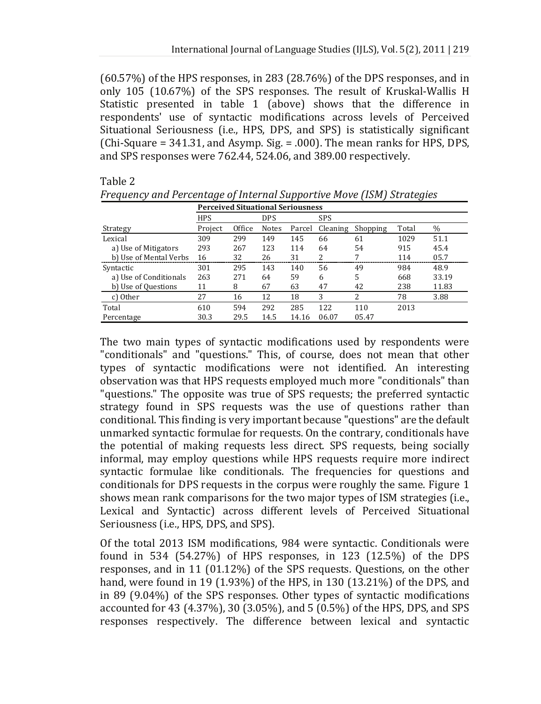(60.57%) of the HPS responses, in 283 (28.76%) of the DPS responses, and in only 105 (10.67%) of the SPS responses. The result of Kruskal-Wallis H Statistic presented in table 1 (above) shows that the difference in respondents' use of syntactic modifications across levels of Perceived Situational Seriousness (i.e., HPS, DPS, and SPS) is statistically significant (Chi-Square = 341.31, and Asymp. Sig. = .000). The mean ranks for HPS, DPS, and SPS responses were 762.44, 524.06, and 389.00 respectively.

#### Table 2

|                        | <b>Perceived Situational Seriousness</b> |        |              |        |          |          |       |       |
|------------------------|------------------------------------------|--------|--------------|--------|----------|----------|-------|-------|
|                        | <b>HPS</b>                               |        | <b>DPS</b>   |        | SPS      |          |       |       |
| Strategy               | Project                                  | Office | <b>Notes</b> | Parcel | Cleaning | Shopping | Total | $\%$  |
| Lexical                | 309                                      | 299    | 149          | 145    | 66       | 61       | 1029  | 51.1  |
| a) Use of Mitigators   | 293                                      | 267    | 123          | 114    | 64       | 54       | 915   | 45.4  |
| b) Use of Mental Verbs | 16                                       | 32     | 26           | 31     | 2        | 7        | 114   | 05.7  |
| Syntactic              | 301                                      | 295    | 143          | 140    | 56       | 49       | 984   | 48.9  |
| a) Use of Conditionals | 263                                      | 271    | 64           | 59     | 6        | 5        | 668   | 33.19 |
| b) Use of Questions    | 11                                       | 8      | 67           | 63     | 47       | 42       | 238   | 11.83 |
| c) Other               | 27                                       | 16     | 12           | 18     | 3        | 2        | 78    | 3.88  |
| Total                  | 610                                      | 594    | 292          | 285    | 122      | 110      | 2013  |       |
| Percentage             | 30.3                                     | 29.5   | 14.5         | 14.16  | 06.07    | 05.47    |       |       |

*Frequency and Percentage of Internal Supportive Move (ISM) Strategies* 

The two main types of syntactic modifications used by respondents were "conditionals" and "questions." This, of course, does not mean that other types of syntactic modifications were not identified. An interesting observation was that HPS requests employed much more "conditionals" than "questions." The opposite was true of SPS requests; the preferred syntactic strategy found in SPS requests was the use of questions rather than conditional. This finding is very important because "questions" are the default unmarked syntactic formulae for requests. On the contrary, conditionals have the potential of making requests less direct. SPS requests, being socially informal, may employ questions while HPS requests require more indirect syntactic formulae like conditionals. The frequencies for questions and conditionals for DPS requests in the corpus were roughly the same. Figure 1 shows mean rank comparisons for the two major types of ISM strategies (i.e., Lexical and Syntactic) across different levels of Perceived Situational Seriousness (i.e., HPS, DPS, and SPS).

Of the total 2013 ISM modifications, 984 were syntactic. Conditionals were found in 534 (54.27%) of HPS responses, in 123 (12.5%) of the DPS responses, and in 11 (01.12%) of the SPS requests. Questions, on the other hand, were found in 19 (1.93%) of the HPS, in 130 (13.21%) of the DPS, and in 89 (9.04%) of the SPS responses. Other types of syntactic modifications accounted for 43 (4.37%), 30 (3.05%), and 5 (0.5%) of the HPS, DPS, and SPS responses respectively. The difference between lexical and syntactic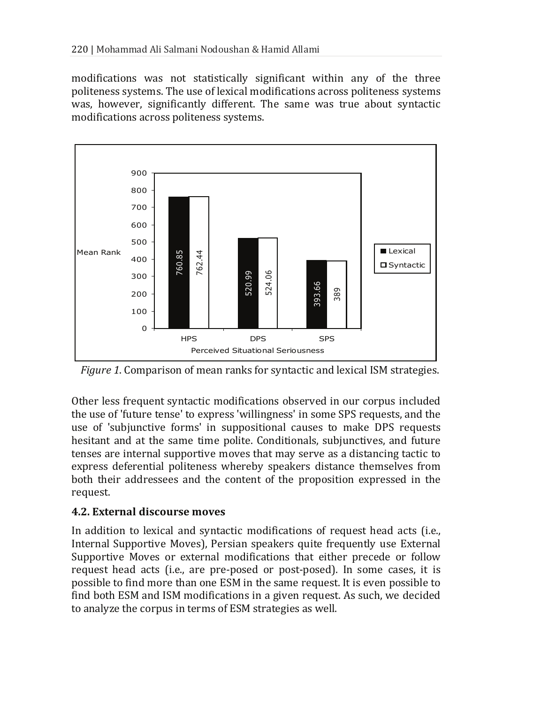modifications was not statistically significant within any of the three politeness systems. The use of lexical modifications across politeness systems was, however, significantly different. The same was true about syntactic modifications across politeness systems.



*Figure 1*. Comparison of mean ranks for syntactic and lexical ISM strategies.

Other less frequent syntactic modifications observed in our corpus included the use of 'future tense' to express 'willingness' in some SPS requests, and the use of 'subjunctive forms' in suppositional causes to make DPS requests hesitant and at the same time polite. Conditionals, subjunctives, and future tenses are internal supportive moves that may serve as a distancing tactic to express deferential politeness whereby speakers distance themselves from both their addressees and the content of the proposition expressed in the request.

# **4.2. External discourse moves**

In addition to lexical and syntactic modifications of request head acts (i.e., Internal Supportive Moves), Persian speakers quite frequently use External Supportive Moves or external modifications that either precede or follow request head acts (i.e., are pre-posed or post-posed). In some cases, it is possible to find more than one ESM in the same request. It is even possible to find both ESM and ISM modifications in a given request. As such, we decided to analyze the corpus in terms of ESM strategies as well.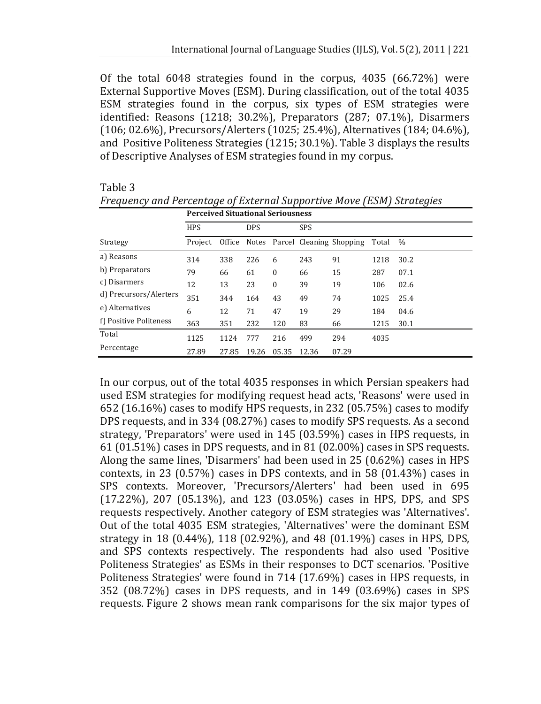Of the total 6048 strategies found in the corpus, 4035 (66.72%) were External Supportive Moves (ESM). During classification, out of the total 4035 ESM strategies found in the corpus, six types of ESM strategies were identified: Reasons (1218; 30.2%), Preparators (287; 07.1%), Disarmers (106; 02.6%), Precursors/Alerters (1025; 25.4%), Alternatives (184; 04.6%), and Positive Politeness Strategies (1215; 30.1%). Table 3 displays the results of Descriptive Analyses of ESM strategies found in my corpus.

# Table 3

|                        | <b>Perceived Situational Seriousness</b> |       |            |              |            |                                       |       |      |  |
|------------------------|------------------------------------------|-------|------------|--------------|------------|---------------------------------------|-------|------|--|
|                        | <b>HPS</b>                               |       | <b>DPS</b> |              | <b>SPS</b> |                                       |       |      |  |
| Strategy               | Project                                  |       |            |              |            | Office Notes Parcel Cleaning Shopping | Total | $\%$ |  |
| a) Reasons             | 314                                      | 338   | 226        | 6            | 243        | 91                                    | 1218  | 30.2 |  |
| b) Preparators         | 79                                       | 66    | 61         | $\mathbf{0}$ | 66         | 15                                    | 287   | 07.1 |  |
| c) Disarmers           | 12                                       | 13    | 23         | $\mathbf{0}$ | 39         | 19                                    | 106   | 02.6 |  |
| d) Precursors/Alerters | 351                                      | 344   | 164        | 43           | 49         | 74                                    | 1025  | 25.4 |  |
| e) Alternatives        | 6                                        | 12    | 71         | 47           | 19         | 29                                    | 184   | 04.6 |  |
| f) Positive Politeness | 363                                      | 351   | 232        | 120          | 83         | 66                                    | 1215  | 30.1 |  |
| Total                  | 1125                                     | 1124  | 777        | 216          | 499        | 294                                   | 4035  |      |  |
| Percentage             | 27.89                                    | 27.85 | 19.26      | 05.35        | 12.36      | 07.29                                 |       |      |  |

*Frequency and Percentage of External Supportive Move (ESM) Strategies* 

In our corpus, out of the total 4035 responses in which Persian speakers had used ESM strategies for modifying request head acts, 'Reasons' were used in 652 (16.16%) cases to modify HPS requests, in 232 (05.75%) cases to modify DPS requests, and in 334 (08.27%) cases to modify SPS requests. As a second strategy, 'Preparators' were used in 145 (03.59%) cases in HPS requests, in 61 (01.51%) cases in DPS requests, and in 81 (02.00%) cases in SPS requests. Along the same lines, 'Disarmers' had been used in 25 (0.62%) cases in HPS contexts, in 23 (0.57%) cases in DPS contexts, and in 58 (01.43%) cases in SPS contexts. Moreover, 'Precursors/Alerters' had been used in 695 (17.22%), 207 (05.13%), and 123 (03.05%) cases in HPS, DPS, and SPS requests respectively. Another category of ESM strategies was 'Alternatives'. Out of the total 4035 ESM strategies, 'Alternatives' were the dominant ESM strategy in 18 (0.44%), 118 (02.92%), and 48 (01.19%) cases in HPS, DPS, and SPS contexts respectively. The respondents had also used 'Positive Politeness Strategies' as ESMs in their responses to DCT scenarios. 'Positive Politeness Strategies' were found in 714 (17.69%) cases in HPS requests, in 352 (08.72%) cases in DPS requests, and in 149 (03.69%) cases in SPS requests. Figure 2 shows mean rank comparisons for the six major types of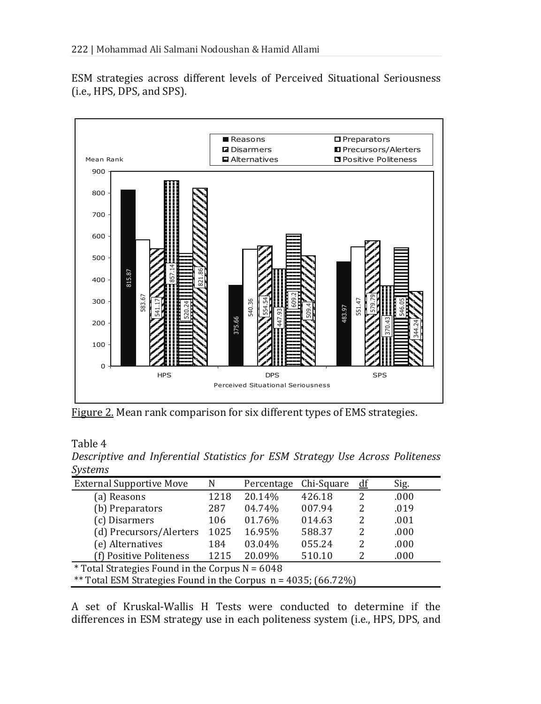ESM strategies across different levels of Perceived Situational Seriousness (i.e., HPS, DPS, and SPS).



Figure 2. Mean rank comparison for six different types of EMS strategies.

Table 4

*Descriptive and Inferential Statistics for ESM Strategy Use Across Politeness Systems* 

| <b>External Supportive Move</b>                                   | N    | Percentage | Chi-Square | df | Sig. |  |  |
|-------------------------------------------------------------------|------|------------|------------|----|------|--|--|
| (a) Reasons                                                       | 1218 | 20.14%     | 426.18     | 2  | .000 |  |  |
| (b) Preparators                                                   | 287  | 04.74%     | 007.94     | 2  | .019 |  |  |
| (c) Disarmers                                                     | 106  | 01.76%     | 014.63     | 2  | .001 |  |  |
| (d) Precursors/Alerters                                           | 1025 | 16.95%     | 588.37     | 2  | .000 |  |  |
| (e) Alternatives                                                  | 184  | 03.04%     | 055.24     | 2  | .000 |  |  |
| (f) Positive Politeness                                           | 1215 | 20.09%     | 510.10     | 2  | .000 |  |  |
| <i>*</i> Total Strategies Found in the Corpus $N = 6048$          |      |            |            |    |      |  |  |
| ** Total ESM Strategies Found in the Corpus $n = 4035$ ; (66.72%) |      |            |            |    |      |  |  |

A set of Kruskal-Wallis H Tests were conducted to determine if the differences in ESM strategy use in each politeness system (i.e., HPS, DPS, and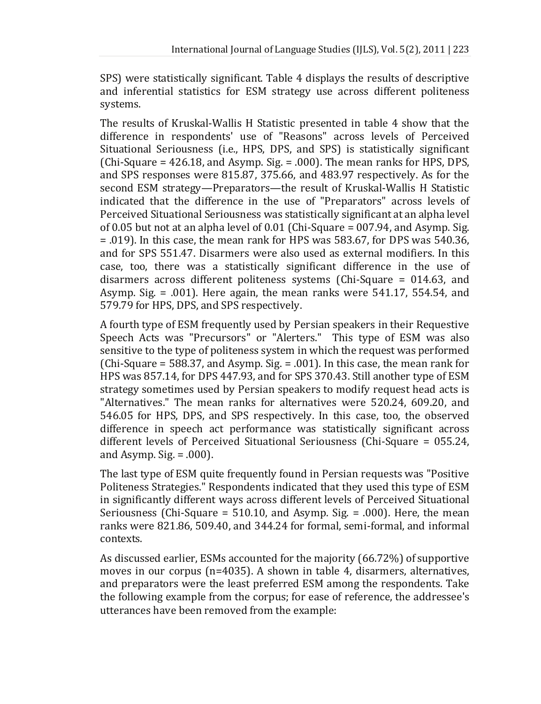SPS) were statistically significant. Table 4 displays the results of descriptive and inferential statistics for ESM strategy use across different politeness systems.

The results of Kruskal-Wallis H Statistic presented in table 4 show that the difference in respondents' use of "Reasons" across levels of Perceived Situational Seriousness (i.e., HPS, DPS, and SPS) is statistically significant  $(Chi-Square = 426.18$ , and Asymp. Sig. = .000). The mean ranks for HPS, DPS, and SPS responses were 815.87, 375.66, and 483.97 respectively. As for the second ESM strategy—Preparators—the result of Kruskal-Wallis H Statistic indicated that the difference in the use of "Preparators" across levels of Perceived Situational Seriousness was statistically significant at an alpha level of 0.05 but not at an alpha level of 0.01 (Chi-Square = 007.94, and Asymp. Sig. = .019). In this case, the mean rank for HPS was 583.67, for DPS was 540.36, and for SPS 551.47. Disarmers were also used as external modifiers. In this case, too, there was a statistically significant difference in the use of disarmers across different politeness systems (Chi-Square = 014.63, and Asymp. Sig. = .001). Here again, the mean ranks were 541.17, 554.54, and 579.79 for HPS, DPS, and SPS respectively.

A fourth type of ESM frequently used by Persian speakers in their Requestive Speech Acts was "Precursors" or "Alerters." This type of ESM was also sensitive to the type of politeness system in which the request was performed (Chi-Square = 588.37, and Asymp. Sig. = .001). In this case, the mean rank for HPS was 857.14, for DPS 447.93, and for SPS 370.43. Still another type of ESM strategy sometimes used by Persian speakers to modify request head acts is "Alternatives." The mean ranks for alternatives were 520.24, 609.20, and 546.05 for HPS, DPS, and SPS respectively. In this case, too, the observed difference in speech act performance was statistically significant across different levels of Perceived Situational Seriousness (Chi-Square = 055.24, and Asymp.  $Sig = .000$ .

The last type of ESM quite frequently found in Persian requests was "Positive Politeness Strategies." Respondents indicated that they used this type of ESM in significantly different ways across different levels of Perceived Situational Seriousness (Chi-Square =  $510.10$ , and Asymp. Sig. = .000). Here, the mean ranks were 821.86, 509.40, and 344.24 for formal, semi-formal, and informal contexts.

As discussed earlier, ESMs accounted for the majority (66.72%) of supportive moves in our corpus (n=4035). A shown in table 4, disarmers, alternatives, and preparators were the least preferred ESM among the respondents. Take the following example from the corpus; for ease of reference, the addressee's utterances have been removed from the example: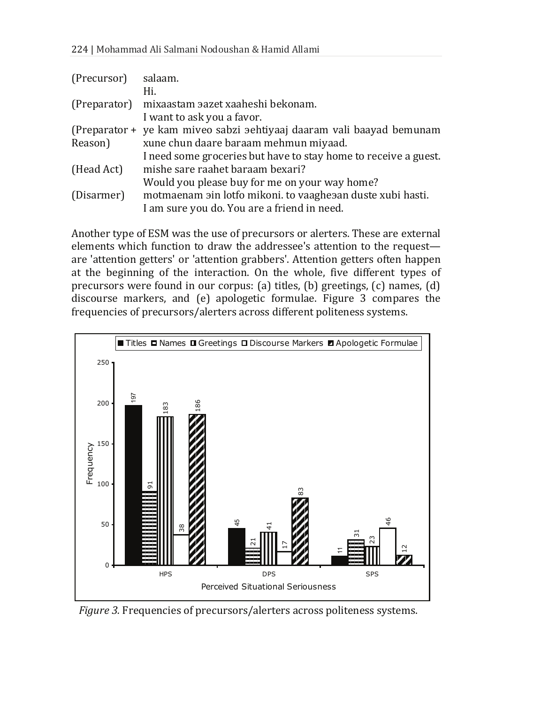| (Precursor)  | salaam.                                                               |
|--------------|-----------------------------------------------------------------------|
|              | Hi.                                                                   |
| (Preparator) | mixaastam aazet xaaheshi bekonam.                                     |
|              | I want to ask you a favor.                                            |
|              | (Preparator + ye kam miveo sabzi sehtiyaaj daaram vali baayad bemunam |
| Reason)      | xune chun daare baraam mehmun miyaad.                                 |
|              | I need some groceries but have to stay home to receive a guest.       |
| (Head Act)   | mishe sare raahet baraam bexari?                                      |
|              | Would you please buy for me on your way home?                         |
| (Disarmer)   | motmaenam ain lotfo mikoni. to vaagheaan duste xubi hasti.            |
|              | I am sure you do. You are a friend in need.                           |

Another type of ESM was the use of precursors or alerters. These are external elements which function to draw the addressee's attention to the request are 'attention getters' or 'attention grabbers'. Attention getters often happen at the beginning of the interaction. On the whole, five different types of precursors were found in our corpus: (a) titles, (b) greetings, (c) names, (d) discourse markers, and (e) apologetic formulae. Figure 3 compares the frequencies of precursors/alerters across different politeness systems.



*Figure 3.* Frequencies of precursors/alerters across politeness systems.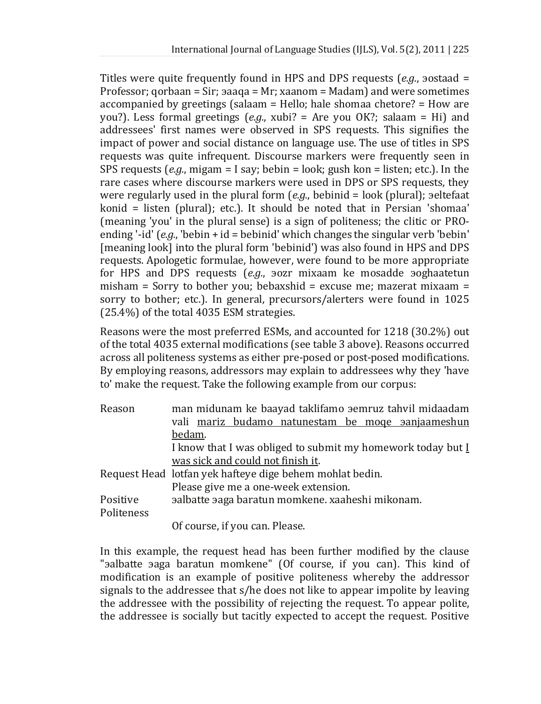Titles were quite frequently found in HPS and DPS requests (*e.g.*, 30staad = Professor; gorbaan = Sir; aaaga = Mr; xaanom = Madam) and were sometimes accompanied by greetings (salaam = Hello; hale shomaa chetore? = How are you?). Less formal greetings (*e.g.*, xubi? = Are you OK?; salaam = Hi) and addressees' first names were observed in SPS requests. This signifies the impact of power and social distance on language use. The use of titles in SPS requests was quite infrequent. Discourse markers were frequently seen in SPS requests (*e.g.*, migam = I say; bebin = look; gush kon = listen; etc.). In the rare cases where discourse markers were used in DPS or SPS requests, they were regularly used in the plural form (*e.g.*, bebinid = look (plural); seltefaat konid = listen (plural); etc.). It should be noted that in Persian 'shomaa' (meaning 'you' in the plural sense) is a sign of politeness; the clitic or PROending '-id' (*e.g.*, 'bebin + id = bebinid' which changes the singular verb 'bebin' [meaning look] into the plural form 'bebinid') was also found in HPS and DPS requests. Apologetic formulae, however, were found to be more appropriate for HPS and DPS requests (e.g., **30Zr** mixaam ke mosadde **30ghaatetun** misham = Sorry to bother you; bebaxshid = excuse me; mazerat mixaam = sorry to bother; etc.). In general, precursors/alerters were found in 1025 (25.4%) of the total 4035 ESM strategies.

Reasons were the most preferred ESMs, and accounted for 1218 (30.2%) out of the total 4035 external modifications (see table 3 above). Reasons occurred across all politeness systems as either pre-posed or post-posed modifications. By employing reasons, addressors may explain to addressees why they 'have to' make the request. Take the following example from our corpus:

| Reason     | man midunam ke baayad taklifamo aemruz tahvil midaadam      |  |  |  |  |  |  |  |
|------------|-------------------------------------------------------------|--|--|--|--|--|--|--|
|            | vali mariz budamo natunestam be moge sanjaameshun           |  |  |  |  |  |  |  |
|            | bedam.                                                      |  |  |  |  |  |  |  |
|            | I know that I was obliged to submit my homework today but I |  |  |  |  |  |  |  |
|            | was sick and could not finish it.                           |  |  |  |  |  |  |  |
|            | Request Head lotfan yek hafteye dige behem mohlat bedin.    |  |  |  |  |  |  |  |
|            | Please give me a one-week extension.                        |  |  |  |  |  |  |  |
| Positive   | aalbatte aaga baratun momkene. xaaheshi mikonam.            |  |  |  |  |  |  |  |
| Politeness |                                                             |  |  |  |  |  |  |  |
|            | Of course, if you can. Please.                              |  |  |  |  |  |  |  |

In this example, the request head has been further modified by the clause "salbatte saga baratun momkene" (Of course, if you can). This kind of modification is an example of positive politeness whereby the addressor signals to the addressee that s/he does not like to appear impolite by leaving the addressee with the possibility of rejecting the request. To appear polite, the addressee is socially but tacitly expected to accept the request. Positive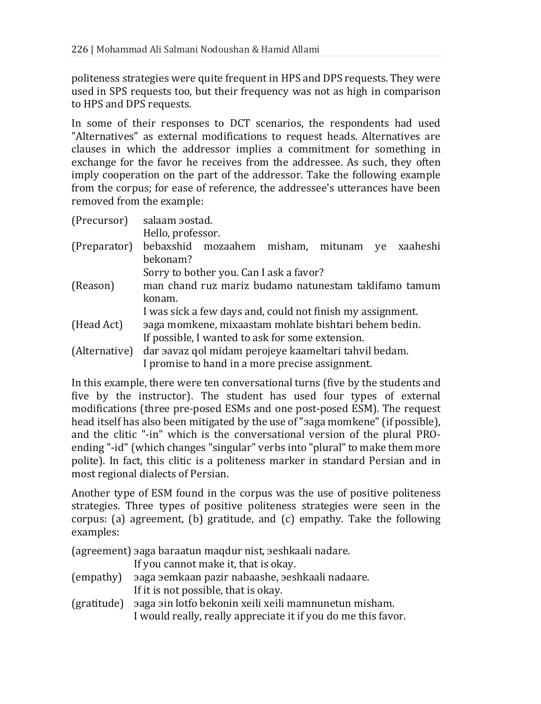politeness strategies were quite frequent in HPS and DPS requests. They were used in SPS requests too, but their frequency was not as high in comparison to HPS and DPS requests.

In some of their responses to DCT scenarios, the respondents had used "Alternatives" as external modifications to request heads. Alternatives are clauses in which the addressor implies a commitment for something in exchange for the favor he receives from the addressee. As such, they often imply cooperation on the part of the addressor. Take the following example from the corpus; for ease of reference, the addressee's utterances have been removed from the example:

| (Precursor)   | salaam aostad.                                             |  |  |  |  |  |  |  |
|---------------|------------------------------------------------------------|--|--|--|--|--|--|--|
|               | Hello, professor.                                          |  |  |  |  |  |  |  |
| (Preparator)  | bebaxshid mozaahem misham, mitunam<br>ye xaaheshi          |  |  |  |  |  |  |  |
|               | hekonam?                                                   |  |  |  |  |  |  |  |
|               | Sorry to bother you. Can I ask a favor?                    |  |  |  |  |  |  |  |
| (Reason)      | man chand ruz mariz budamo natunestam taklifamo tamum      |  |  |  |  |  |  |  |
|               | konam.                                                     |  |  |  |  |  |  |  |
|               | I was sick a few days and, could not finish my assignment. |  |  |  |  |  |  |  |
| (Head Act)    | aaga momkene, mixaastam mohlate bishtari behem bedin.      |  |  |  |  |  |  |  |
|               | If possible, I wanted to ask for some extension.           |  |  |  |  |  |  |  |
| (Alternative) | dar aavaz qol midam perojeye kaameltari tahvil bedam.      |  |  |  |  |  |  |  |
|               | I promise to hand in a more precise assignment.            |  |  |  |  |  |  |  |

In this example, there were ten conversational turns (five by the students and five by the instructor). The student has used four types of external modifications (three pre-posed ESMs and one post-posed ESM). The request head itself has also been mitigated by the use of "aaga momkene" (if possible), and the clitic "-in" which is the conversational version of the plural PROending "-id" (which changes "singular" verbs into "plural" to make them more polite). In fact, this clitic is a politeness marker in standard Persian and in most regional dialects of Persian.

Another type of ESM found in the corpus was the use of positive politeness strategies. Three types of positive politeness strategies were seen in the corpus: (a) agreement, (b) gratitude, and (c) empathy. Take the following examples:

(agreement) saga baraatun maqdur nist, seshkaali nadare.

If you cannot make it, that is okay.

- (empathy) saga semkaan pazir nabaashe, seshkaali nadaare. If it is not possible, that is okay.
- (gratitude) saga sin lotfo bekonin xeili xeili mamnunetun misham. I would really, really appreciate it if you do me this favor.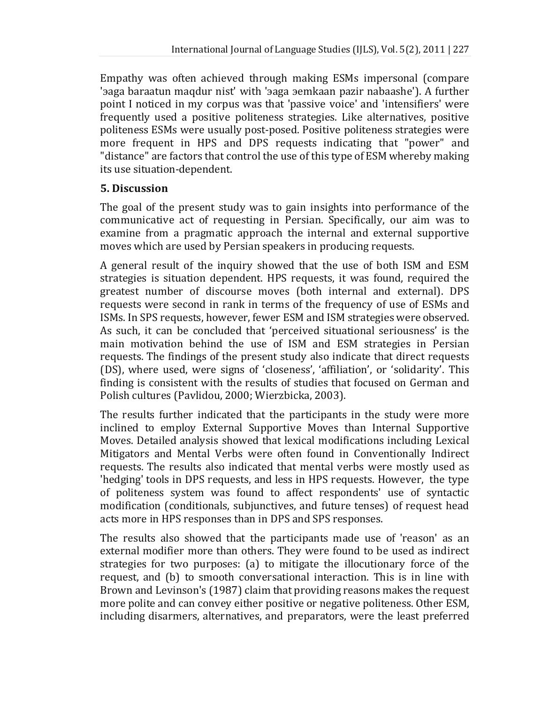Empathy was often achieved through making ESMs impersonal (compare 'aaga baraatun maqdur nist' with 'aaga aemkaan pazir nabaashe'). A further point I noticed in my corpus was that 'passive voice' and 'intensifiers' were frequently used a positive politeness strategies. Like alternatives, positive politeness ESMs were usually post-posed. Positive politeness strategies were more frequent in HPS and DPS requests indicating that "power" and "distance" are factors that control the use of this type of ESM whereby making its use situation-dependent.

### **5. Discussion**

The goal of the present study was to gain insights into performance of the communicative act of requesting in Persian. Specifically, our aim was to examine from a pragmatic approach the internal and external supportive moves which are used by Persian speakers in producing requests.

A general result of the inquiry showed that the use of both ISM and ESM strategies is situation dependent. HPS requests, it was found, required the greatest number of discourse moves (both internal and external). DPS requests were second in rank in terms of the frequency of use of ESMs and ISMs. In SPS requests, however, fewer ESM and ISM strategies were observed. As such, it can be concluded that 'perceived situational seriousness' is the main motivation behind the use of ISM and ESM strategies in Persian requests. The findings of the present study also indicate that direct requests (DS), where used, were signs of 'closeness', 'affiliation', or 'solidarity'. This finding is consistent with the results of studies that focused on German and Polish cultures (Pavlidou, 2000; Wierzbicka, 2003).

The results further indicated that the participants in the study were more inclined to employ External Supportive Moves than Internal Supportive Moves. Detailed analysis showed that lexical modifications including Lexical Mitigators and Mental Verbs were often found in Conventionally Indirect requests. The results also indicated that mental verbs were mostly used as 'hedging' tools in DPS requests, and less in HPS requests. However, the type of politeness system was found to affect respondents' use of syntactic modification (conditionals, subjunctives, and future tenses) of request head acts more in HPS responses than in DPS and SPS responses.

The results also showed that the participants made use of 'reason' as an external modifier more than others. They were found to be used as indirect strategies for two purposes: (a) to mitigate the illocutionary force of the request, and (b) to smooth conversational interaction. This is in line with Brown and Levinson's (1987) claim that providing reasons makes the request more polite and can convey either positive or negative politeness. Other ESM, including disarmers, alternatives, and preparators, were the least preferred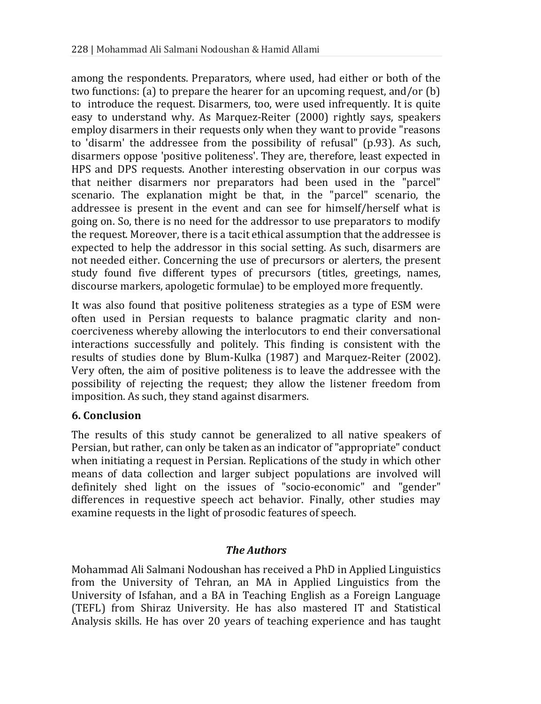among the respondents. Preparators, where used, had either or both of the two functions: (a) to prepare the hearer for an upcoming request, and/or (b) to introduce the request. Disarmers, too, were used infrequently. It is quite easy to understand why. As Marquez-Reiter (2000) rightly says, speakers employ disarmers in their requests only when they want to provide "reasons to 'disarm' the addressee from the possibility of refusal" (p.93). As such, disarmers oppose 'positive politeness'. They are, therefore, least expected in HPS and DPS requests. Another interesting observation in our corpus was that neither disarmers nor preparators had been used in the "parcel" scenario. The explanation might be that, in the "parcel" scenario, the addressee is present in the event and can see for himself/herself what is going on. So, there is no need for the addressor to use preparators to modify the request. Moreover, there is a tacit ethical assumption that the addressee is expected to help the addressor in this social setting. As such, disarmers are not needed either. Concerning the use of precursors or alerters, the present study found five different types of precursors (titles, greetings, names, discourse markers, apologetic formulae) to be employed more frequently.

It was also found that positive politeness strategies as a type of ESM were often used in Persian requests to balance pragmatic clarity and noncoerciveness whereby allowing the interlocutors to end their conversational interactions successfully and politely. This finding is consistent with the results of studies done by Blum-Kulka (1987) and Marquez-Reiter (2002). Very often, the aim of positive politeness is to leave the addressee with the possibility of rejecting the request; they allow the listener freedom from imposition. As such, they stand against disarmers.

#### **6. Conclusion**

The results of this study cannot be generalized to all native speakers of Persian, but rather, can only be taken as an indicator of "appropriate" conduct when initiating a request in Persian. Replications of the study in which other means of data collection and larger subject populations are involved will definitely shed light on the issues of "socio-economic" and "gender" differences in requestive speech act behavior. Finally, other studies may examine requests in the light of prosodic features of speech.

#### *The Authors*

Mohammad Ali Salmani Nodoushan has received a PhD in Applied Linguistics from the University of Tehran, an MA in Applied Linguistics from the University of Isfahan, and a BA in Teaching English as a Foreign Language (TEFL) from Shiraz University. He has also mastered IT and Statistical Analysis skills. He has over 20 years of teaching experience and has taught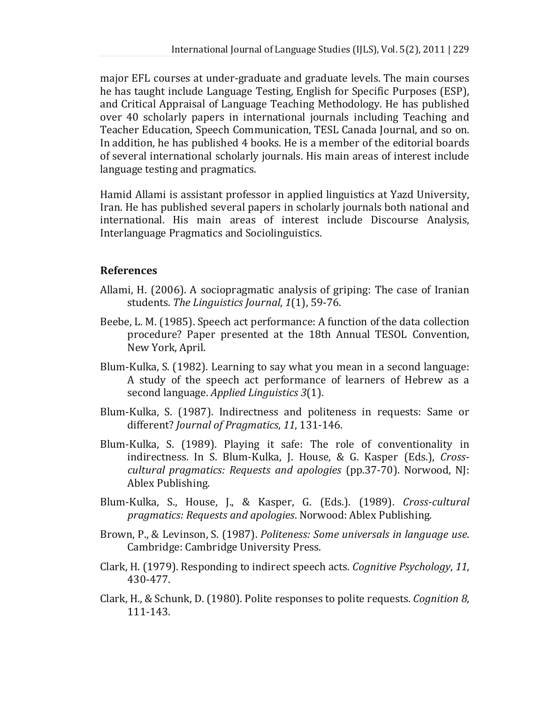major EFL courses at under-graduate and graduate levels. The main courses he has taught include Language Testing, English for Specific Purposes (ESP), and Critical Appraisal of Language Teaching Methodology. He has published over 40 scholarly papers in international journals including Teaching and Teacher Education, Speech Communication, TESL Canada Journal, and so on. In addition, he has published 4 books. He is a member of the editorial boards of several international scholarly journals. His main areas of interest include language testing and pragmatics.

Hamid Allami is assistant professor in applied linguistics at Yazd University, Iran. He has published several papers in scholarly journals both national and international. His main areas of interest include Discourse Analysis, Interlanguage Pragmatics and Sociolinguistics.

#### **References**

- Allami, H. (2006). A sociopragmatic analysis of griping: The case of Iranian students. *The Linguistics Journal*, *1*(1), 59-76.
- Beebe, L. M. (1985). Speech act performance: A function of the data collection procedure? Paper presented at the 18th Annual TESOL Convention, New York, April.
- Blum-Kulka, S. (1982). Learning to say what you mean in a second language: A study of the speech act performance of learners of Hebrew as a second language. *Applied Linguistics 3*(1).
- Blum-Kulka, S. (1987). Indirectness and politeness in requests: Same or different? *Journal of Pragmatics*, *11*, 131-146.
- Blum-Kulka, S. (1989). Playing it safe: The role of conventionality in indirectness. In S. Blum-Kulka, J. House, & G. Kasper (Eds.), *Crosscultural pragmatics: Requests and apologies* (pp.37-70). Norwood, NJ: Ablex Publishing.
- Blum-Kulka, S., House, J., & Kasper, G. (Eds.). (1989). *Cross-cultural pragmatics: Requests and apologies*. Norwood: Ablex Publishing.
- Brown, P., & Levinson, S. (1987). *Politeness: Some universals in language use*. Cambridge: Cambridge University Press.
- Clark, H. (1979). Responding to indirect speech acts. *Cognitive Psychology*, *11*, 430-477.
- Clark, H., & Schunk, D. (1980). Polite responses to polite requests. *Cognition 8*, 111-143.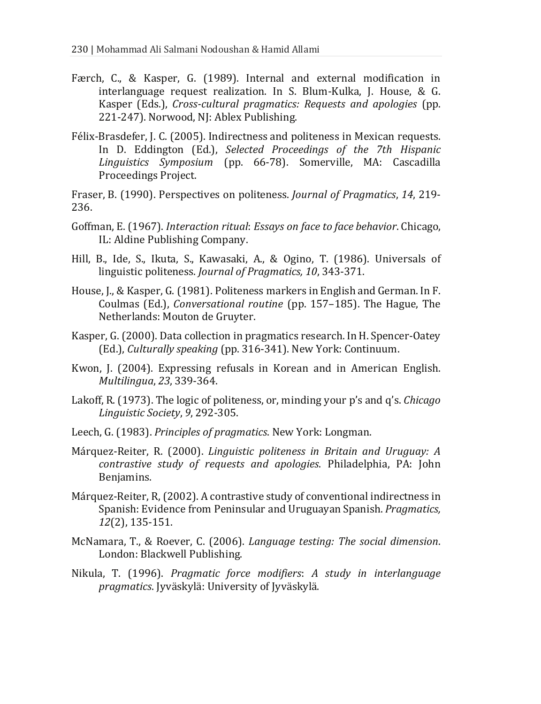- Færch, C., & Kasper, G. (1989). Internal and external modification in interlanguage request realization. In S. Blum-Kulka, J. House, & G. Kasper (Eds.), *Cross-cultural pragmatics: Requests and apologies* (pp. 221-247). Norwood, NJ: Ablex Publishing.
- Félix-Brasdefer, J. C. (2005). Indirectness and politeness in Mexican requests. In D. Eddington (Ed.), *Selected Proceedings of the 7th Hispanic Linguistics Symposium* (pp. 66-78). Somerville, MA: Cascadilla Proceedings Project.

Fraser, B. (1990). Perspectives on politeness. *Journal of Pragmatics*, *14*, 219- 236.

- Goffman, E. (1967). *Interaction ritual*: *Essays on face to face behavior*. Chicago, IL: Aldine Publishing Company.
- Hill, B., Ide, S., Ikuta, S., Kawasaki, A., & Ogino, T. (1986). Universals of linguistic politeness. *Journal of Pragmatics, 10*, 343-371.
- House, J., & Kasper, G. (1981). Politeness markers in English and German. In F. Coulmas (Ed.), *Conversational routine* (pp. 157–185). The Hague, The Netherlands: Mouton de Gruyter.
- Kasper, G. (2000). Data collection in pragmatics research. In H. Spencer-Oatey (Ed.), *Culturally speaking* (pp. 316-341). New York: Continuum.
- Kwon, J. (2004). Expressing refusals in Korean and in American English. *Multilingua*, *23*, 339-364.
- Lakoff, R. (1973). The logic of politeness, or, minding your p's and q's. *Chicago Linguistic Society*, *9*, 292-305.
- Leech, G. (1983). *Principles of pragmatics*. New York: Longman.
- Márquez-Reiter, R. (2000). *Linguistic politeness in Britain and Uruguay: A contrastive study of requests and apologies*. Philadelphia, PA: John Benjamins.
- Márquez-Reiter, R, (2002). A contrastive study of conventional indirectness in Spanish: Evidence from Peninsular and Uruguayan Spanish. *Pragmatics, 12*(2), 135-151.
- McNamara, T., & Roever, C. (2006). *Language testing: The social dimension*. London: Blackwell Publishing.
- Nikula, T. (1996). *Pragmatic force modifiers*: *A study in interlanguage pragmatics*. Jyväskylä: University of Jyväskylä.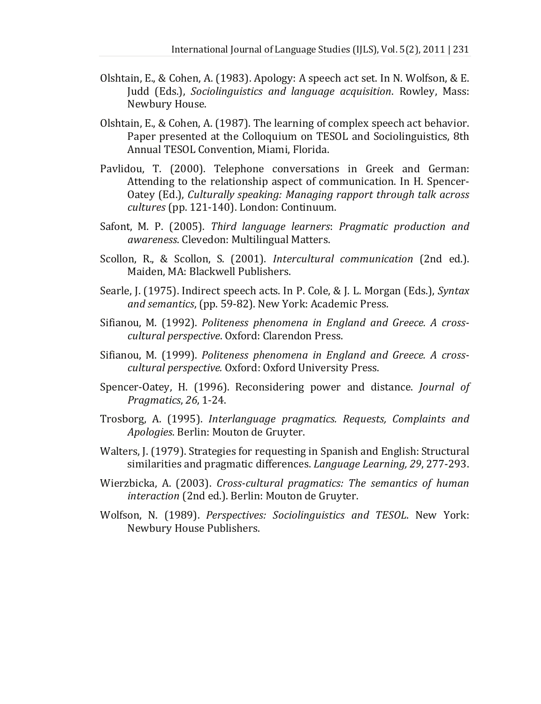- Olshtain, E., & Cohen, A. (1983). Apology: A speech act set. In N. Wolfson, & E. Judd (Eds.), *Sociolinguistics and language acquisition*. Rowley, Mass: Newbury House.
- Olshtain, E., & Cohen, A. (1987). The learning of complex speech act behavior. Paper presented at the Colloquium on TESOL and Sociolinguistics, 8th Annual TESOL Convention, Miami, Florida.
- Pavlidou, T. (2000). Telephone conversations in Greek and German: Attending to the relationship aspect of communication. In H. Spencer-Oatey (Ed.), *Culturally speaking: Managing rapport through talk across cultures* (pp. 121-140). London: Continuum.
- Safont, M. P. (2005). *Third language learners*: *Pragmatic production and awareness*. Clevedon: Multilingual Matters.
- Scollon, R., & Scollon, S. (2001). *Intercultural communication* (2nd ed.). Maiden, MA: Blackwell Publishers.
- Searle, J. (1975). Indirect speech acts. In P. Cole, & J. L. Morgan (Eds.), *Syntax and semantics*, (pp. 59-82). New York: Academic Press.
- Sifianou, M. (1992). *Politeness phenomena in England and Greece. A crosscultural perspective*. Oxford: Clarendon Press.
- Sifianou, M. (1999). *Politeness phenomena in England and Greece. A crosscultural perspective.* Oxford: Oxford University Press.
- Spencer-Oatey, H. (1996). Reconsidering power and distance. *Journal of Pragmatics*, *26*, 1-24.
- Trosborg, A. (1995). *Interlanguage pragmatics. Requests, Complaints and Apologies*. Berlin: Mouton de Gruyter.
- Walters, J. (1979). Strategies for requesting in Spanish and English: Structural similarities and pragmatic differences. *Language Learning, 29*, 277-293.
- Wierzbicka, A. (2003). *Cross-cultural pragmatics: The semantics of human interaction* (2nd ed.). Berlin: Mouton de Gruyter.
- Wolfson, N. (1989). *Perspectives: Sociolinguistics and TESOL*. New York: Newbury House Publishers.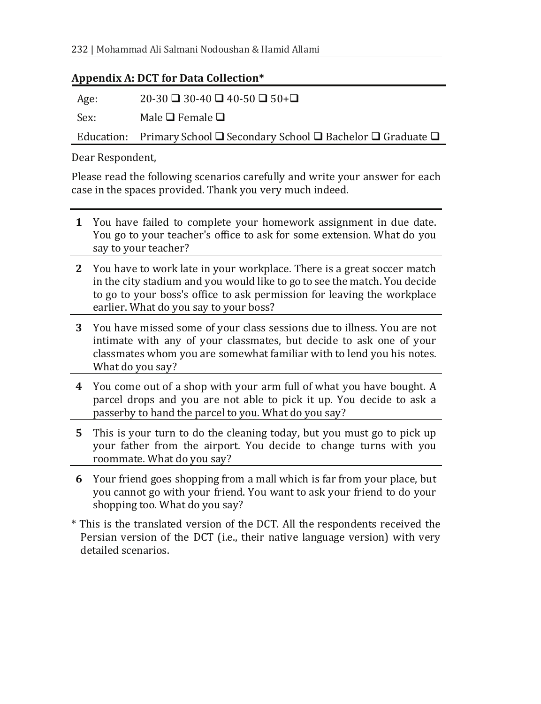#### **Appendix A: DCT for Data Collection\***

Age:  $20-30 \square 30-40 \square 40-50 \square 50+ \square$ 

Sex: Male  $\Box$  Female  $\Box$ 

Education: Primary School  $\Box$  Secondary School  $\Box$  Bachelor  $\Box$  Graduate  $\Box$ 

Dear Respondent,

Please read the following scenarios carefully and write your answer for each case in the spaces provided. Thank you very much indeed.

- **1** You have failed to complete your homework assignment in due date. You go to your teacher's office to ask for some extension. What do you say to your teacher?
- **2** You have to work late in your workplace. There is a great soccer match in the city stadium and you would like to go to see the match. You decide to go to your boss's office to ask permission for leaving the workplace earlier. What do you say to your boss?
- **3** You have missed some of your class sessions due to illness. You are not intimate with any of your classmates, but decide to ask one of your classmates whom you are somewhat familiar with to lend you his notes. What do you say?
- **4** You come out of a shop with your arm full of what you have bought. A parcel drops and you are not able to pick it up. You decide to ask a passerby to hand the parcel to you. What do you say?
- **5** This is your turn to do the cleaning today, but you must go to pick up your father from the airport. You decide to change turns with you roommate. What do you say?
- **6** Your friend goes shopping from a mall which is far from your place, but you cannot go with your friend. You want to ask your friend to do your shopping too. What do you say?
- \* This is the translated version of the DCT. All the respondents received the Persian version of the DCT (i.e., their native language version) with very detailed scenarios.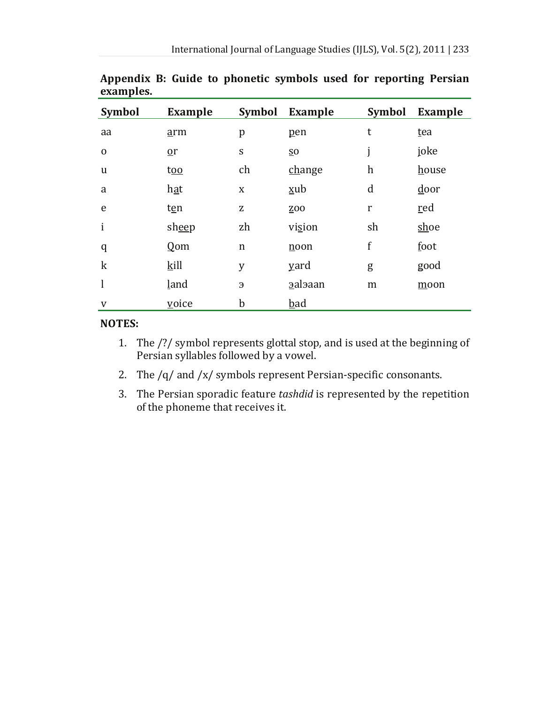| Symbol      | <b>Example</b> | Symbol      | Example         | <b>Symbol</b>             | <b>Example</b> |
|-------------|----------------|-------------|-----------------|---------------------------|----------------|
| aa          | arm            | p           | pen             | t                         | tea            |
| $\mathbf 0$ | $\mathbf{p}$   | S           | $\overline{50}$ | j                         | joke           |
| u           | too            | ch          | change          | $\boldsymbol{\mathrm{h}}$ | house          |
| a           | hat            | X           | xub             | d                         | door           |
| e           | ten            | z           | ZO <sub>O</sub> | r                         | red            |
| i           | sheep          | zh          | vision          | sh                        | shoe           |
| q           | $Q$ om         | n           | noon            | f                         | foot           |
| $\mathbf k$ | kill           | y           | <u>v</u> ard    | g                         | good           |
| l           | land           | Э           | aalaaan         | m                         | moon           |
| V           | voice          | $\mathbf b$ | <b>bad</b>      |                           |                |

**Appendix B: Guide to phonetic symbols used for reporting Persian examples.** 

#### **NOTES:**

- 1. The /?/ symbol represents glottal stop, and is used at the beginning of Persian syllables followed by a vowel.
- 2. The /q/ and /x/ symbols represent Persian-specific consonants.
- 3. The Persian sporadic feature *tashdid* is represented by the repetition of the phoneme that receives it.